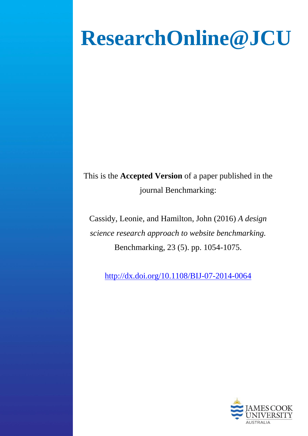# **ResearchOnline@JCU**

This is the **Accepted Version** of a paper published in the journal Benchmarking:

Cassidy, Leonie, and Hamilton, John (2016) *A design science research approach to website benchmarking.* Benchmarking, 23 (5). pp. 1054-1075.

<http://dx.doi.org/10.1108/BIJ-07-2014-0064>

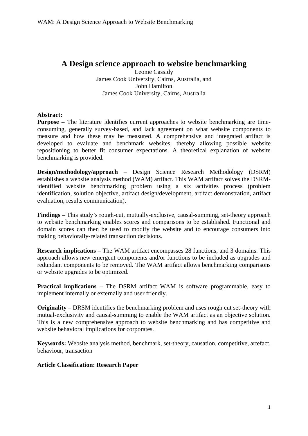# **A Design science approach to website benchmarking**

Leonie Cassidy James Cook University, Cairns, Australia, and John Hamilton James Cook University, Cairns, Australia

# **Abstract:**

**Purpose –** The literature identifies current approaches to website benchmarking are timeconsuming, generally survey-based, and lack agreement on what website components to measure and how these may be measured. A comprehensive and integrated artifact is developed to evaluate and benchmark websites, thereby allowing possible website repositioning to better fit consumer expectations. A theoretical explanation of website benchmarking is provided.

**Design/methodology/approach** – Design Science Research Methodology (DSRM) establishes a website analysis method (WAM) artifact. This WAM artifact solves the DSRMidentified website benchmarking problem using a six activities process (problem identification, solution objective, artifact design/development, artifact demonstration, artifact evaluation, results communication).

**Findings –** This study's rough-cut, mutually-exclusive, causal-summing, set-theory approach to website benchmarking enables scores and comparisons to be established. Functional and domain scores can then be used to modify the website and to encourage consumers into making behaviorally-related transaction decisions.

**Research implications –** The WAM artifact encompasses 28 functions, and 3 domains. This approach allows new emergent components and/or functions to be included as upgrades and redundant components to be removed. The WAM artifact allows benchmarking comparisons or website upgrades to be optimized.

**Practical implications –** The DSRM artifact WAM is software programmable, easy to implement internally or externally and user friendly.

**Originality –** DRSM identifies the benchmarking problem and uses rough cut set-theory with mutual-exclusivity and causal-summing to enable the WAM artifact as an objective solution. This is a new comprehensive approach to website benchmarking and has competitive and website behavioral implications for corporates.

**Keywords:** Website analysis method, benchmark, set-theory, causation, competitive, artefact, behaviour, transaction

# **Article Classification: Research Paper**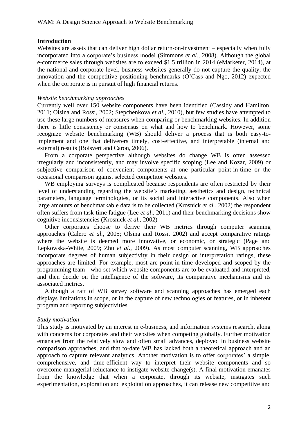# **Introduction**

Websites are assets that can deliver high dollar return-on-investment – especially when fully incorporated into a corporate's business model (Simmons *et al.,* 2008). Although the global e-commerce sales through websites are to exceed \$1.5 trillion in 2014 (eMarketer, 2014), at the national and corporate level, business websites generally do not capture the quality, the innovation and the competitive positioning benchmarks (O'Cass and Ngo, 2012) expected when the corporate is in pursuit of high financial returns.

#### *Website benchmarking approaches*

Currently well over 150 website components have been identified (Cassidy and Hamilton, 2011; Olsina and Rossi, 2002; Stepchenkova *et al.,* 2010), but few studies have attempted to use these large numbers of measures when comparing or benchmarking websites. In addition there is little consistency or consensus on what and how to benchmark. However, some recognize website benchmarking (WB) should deliver a process that is both easy-toimplement and one that deliverers timely, cost-effective, and interpretable (internal and external) results (Boisvert and Caron, 2006).

From a corporate perspective although websites do change WB is often assessed irregularly and inconsistently, and may involve specific scoping (Lee and Kozar, 2009) or subjective comparison of convenient components at one particular point-in-time or the occasional comparison against selected competitor websites.

WB employing surveys is complicated because respondents are often restricted by their level of understanding regarding the website's marketing, aesthetics and design, technical parameters, language terminologies, or its social and interactive components. Also when large amounts of benchmarkable data is to be collected (Krosnick *et al.,* 2002) the respondent often suffers from task-time fatigue (Lee *et al*., 2011) and their benchmarking decisions show cognitive inconsistencies (Krosnick *et al.,* 2002)

Other corporates choose to derive their WB metrics through computer scanning approaches (Calero *et al.,* 2005; Olsina and Rossi, 2002) and accept comparative ratings where the website is deemed more innovative, or economic, or strategic (Page and Lepkowska-White, 2009; Zhu *et al.,* 2009). As most computer scanning, WB approaches incorporate degrees of human subjectivity in their design or interpretation ratings, these approaches are limited. For example, most are point-in-time developed and scoped by the programming team - who set which website components are to be evaluated and interpreted, and then decide on the intelligence of the software, its comparative mechanisms and its associated metrics.

Although a raft of WB survey software and scanning approaches has emerged each displays limitations in scope, or in the capture of new technologies or features, or in inherent program and reporting subjectivities.

# *Study motivation*

This study is motivated by an interest in e-business, and information systems research, along with concerns for corporates and their websites when competing globally. Further motivation emanates from the relatively slow and often small advances, deployed in business website comparison approaches, and that to-date WB has lacked both a theoretical approach and an approach to capture relevant analytics. Another motivation is to offer corporates' a simple, comprehensive, and time-efficient way to interpret their website components and so overcome managerial reluctance to instigate website change(s). A final motivation emanates from the knowledge that when a corporate, through its website, instigates such experimentation, exploration and exploitation approaches, it can release new competitive and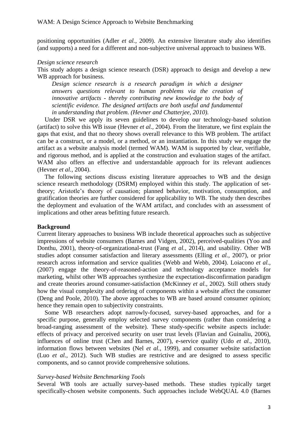positioning opportunities (Adler *et al.,* 2009). An extensive literature study also identifies (and supports) a need for a different and non-subjective universal approach to business WB.

#### *Design science research*

This study adopts a design science research (DSR) approach to design and develop a new WB approach for business.

*Design science research is a research paradigm in which a designer answers questions relevant to human problems via the creation of innovative artifacts - thereby contributing new knowledge to the body of scientific evidence. The designed artifacts are both useful and fundamental in understanding that problem. (Hevner and Chatterjee, 2010).*

Under DSR we apply its seven guidelines to develop our technology-based solution (artifact) to solve this WB issue (Hevner *et al.,* 2004). From the literature, we first explain the gaps that exist, and that no theory shows overall relevance to this WB problem. The artifact can be a construct, or a model, or a method, or an instantiation. In this study we engage the artifact as a website analysis model (termed WAM). WAM is supported by clear, verifiable, and rigorous method, and is applied at the construction and evaluation stages of the artifact. WAM also offers an effective and understandable approach for its relevant audiences (Hevner *et al.,* 2004).

The following sections discuss existing literature approaches to WB and the design science research methodology (DSRM) employed within this study. The application of settheory; Aristotle's theory of causation; planned behavior, motivation, consumption, and gratification theories are further considered for applicability to WB. The study then describes the deployment and evaluation of the WAM artifact, and concludes with an assessment of implications and other areas befitting future research.

# **Background**

Current literary approaches to business WB include theoretical approaches such as subjective impressions of website consumers (Barnes and Vidgen, 2002), perceived-qualities (Yoo and Donthu, 2001), theory-of-organizational-trust (Fang *et al.,* 2014), and usability. Other WB studies adopt consumer satisfaction and literary assessments (Elling *et al.,* 2007), or prior research across information and service qualities (Webb and Webb, 2004). Loiacono *et al.,* (2007) engage the theory-of-reasoned-action and technology acceptance models for marketing, whilst other WB approaches synthesize the expectation-disconfirmation paradigm and create theories around consumer-satisfaction (McKinney *et al.,* 2002). Still others study how the visual complexity and ordering of components within a website affect the consumer (Deng and Poole, 2010). The above approaches to WB are based around consumer opinion; hence they remain open to subjectivity constraints.

Some WB researchers adopt narrowly-focused, survey-based approaches, and for a specific purpose, generally employ selected survey components (rather than considering a broad-ranging assessment of the website). These study-specific website aspects include: effects of privacy and perceived security on user trust levels (Flavian and Guinaliu, 2006), influences of online trust (Chen and Barnes, 2007), e-service quality (Udo *et al.,* 2010), information flows between websites (Nel *et al.,* 1999), and consumer website satisfaction (Luo *et al.,* 2012). Such WB studies are restrictive and are designed to assess specific components, and so cannot provide comprehensive solutions.

#### *Survey-based Website Benchmarking Tools*

Several WB tools are actually survey-based methods. These studies typically target specifically-chosen website components. Such approaches include WebQUAL 4.0 (Barnes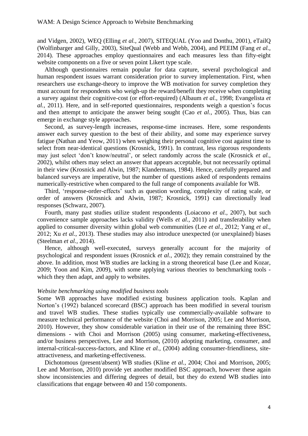and Vidgen, 2002), WEQ (Elling *et al.,* 2007), SITEQUAL (Yoo and Donthu, 2001), eTailQ (Wolfinbarger and Gilly, 2003), SiteQual (Webb and Webb, 2004), and PEEIM (Fang *et al.,* 2014). These approaches employ questionnaires and each measures less than fifty-eight website components on a five or seven point Likert type scale.

Although questionnaires remain popular for data capture, several psychological and human respondent issues warrant consideration prior to survey implementation. First, when researchers use exchange-theory to improve the WB motivation for survey completion they must account for respondents who weigh-up the reward/benefit they receive when completing a survey against their cognitive-cost (or effort-required) (Albaum *et al.,* 1998; Evangelista *et al.,* 2011). Here, and in self-reported questionnaires, respondents weigh a question's focus and then attempt to anticipate the answer being sought (Cao *et al.,* 2005). Thus, bias can emerge in exchange style approaches.

Second, as survey-length increases, response-time increases. Here, some respondents answer each survey question to the best of their ability, and some may experience survey fatigue (Nathan and Yeow, 2011) when weighing their personal cognitive cost against time to select from near-identical questions (Krosnick, 1991). In contrast, less rigorous respondents may just select 'don't know/neutral', or select randomly across the scale (Krosnick *et al.,* 2002), whilst others may select an answer that appears acceptable, but not necessarily optimal in their view (Krosnick and Alwin, 1987; Klandermans, 1984). Hence, carefully prepared and balanced surveys are imperative, but the number of questions asked of respondents remains numerically-restrictive when compared to the full range of components available for WB.

Third, 'response-order-effects' such as question wording, complexity of rating scale, or order of answers (Krosnick and Alwin, 1987; Krosnick, 1991) can directionally lead responses (Schwarz, 2007).

Fourth, many past studies utilize student respondents (Loiacono *et al.,* 2007), but such convenience sample approaches lacks validity (Wells *et al.,* 2011) and transferability when applied to consumer diversity within global web communities (Lee *et al.,* 2012; Yang *et al.,* 2012; Xu *et al.*, 2013). These studies may also introduce unexpected (or unexplained) biases (Steelman *et al.,* 2014).

Hence, although well-executed, surveys generally account for the majority of psychological and respondent issues (Krosnick *et al.,* 2002); they remain constrained by the above. In addition, most WB studies are lacking in a strong theoretical base (Lee and Kozar, 2009; Yoon and Kim, 2009), with some applying various theories to benchmarking tools which they then adapt, and apply to websites.

#### *Website benchmarking using modified business tools*

Some WB approaches have modified existing business application tools. Kaplan and Norton's (1992) balanced scorecard (BSC) approach has been modified in several tourism and travel WB studies. These studies typically use commercially-available software to measure technical performance of the website (Choi and Morrison, 2005; Lee and Morrison, 2010). However, they show considerable variation in their use of the remaining three BSC dimensions - with Choi and Morrison (2005) using consumer, marketing-effectiveness, and/or business perspectives, Lee and Morrison, (2010) adopting marketing, consumer, and internal-critical-success-factors, and Kline *et al.,* (2004) adding consumer-friendliness, siteattractiveness, and marketing-effectiveness.

Dichotomous (present/absent) WB studies (Kline *et al.,* 2004; Choi and Morrison, 2005; Lee and Morrison, 2010) provide yet another modified BSC approach, however these again show inconsistencies and differing degrees of detail, but they do extend WB studies into classifications that engage between 40 and 150 components.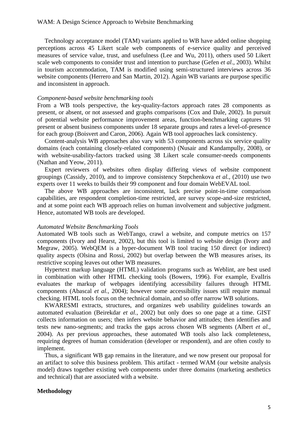Technology acceptance model (TAM) variants applied to WB have added online shopping perceptions across 45 Likert scale web components of e-service quality and perceived measures of service value, trust, and usefulness (Lee and Wu, 2011), others used 50 Likert scale web components to consider trust and intention to purchase (Gefen *et al*., 2003). Whilst in tourism accommodation, TAM is modified using semi-structured interviews across 36 website components (Herrero and San Martin, 2012). Again WB variants are purpose specific and inconsistent in approach.

#### *Component-based website benchmarking tools*

From a WB tools perspective, the key-quality-factors approach rates 28 components as present, or absent, or not assessed and graphs comparisons (Cox and Dale, 2002). In pursuit of potential website performance improvement areas, function-benchmarking captures 91 present or absent business components under 18 separate groups and rates a level-of-presence for each group (Boisvert and Caron, 2006). Again WB tool approaches lack consistency.

Content-analysis WB approaches also vary with 53 components across six service quality domains (each containing closely-related components) (Nusair and Kandampully, 2008), or with website-usability-factors tracked using 38 Likert scale consumer-needs components (Nathan and Yeow, 2011).

Expert reviewers of websites often display differing views of website component groupings (Cassidy, 2010), and to improve consistency Stepchenkova *et al.,* (2010) use two experts over 11 weeks to builds their 99 component and four domain WebEVAL tool.

The above WB approaches are inconsistent, lack precise point-in-time comparison capabilities, are respondent completion-time restricted, are survey scope-and-size restricted, and at some point each WB approach relies on human involvement and subjective judgment. Hence, automated WB tools are developed.

#### *Automated Website Benchmarking Tools*

Automated WB tools such as WebTango, crawl a website, and compute metrics on 157 components (Ivory and Hearst, 2002), but this tool is limited to website design (Ivory and Megraw, 2005). WebQEM is a hyper-document WB tool tracing 150 direct (or indirect) quality aspects (Olsina and Rossi, 2002) but overlap between the WB measures arises, its restrictive scoping leaves out other WB measures.

Hypertext markup language (HTML) validation programs such as Weblint, are best used in combination with other HTML checking tools (Bowers, 1996). For example, EvalIris evaluates the markup of webpages identifying accessibility failures through HTML components (Abascal *et al.,* 2004); however some accessibility issues still require manual checking. HTML tools focus on the technical domain, and so offer narrow WB solutions.

KWARESMI extracts, structures, and organizes web usability guidelines towards an automated evaluation (Beirekdar *et al.,* 2002) but only does so one page at a time. GIST collects information on users; then infers website behavior and attitudes; then identifies and tests new nano-segments; and tracks the gaps across chosen WB segments (Albert *et al.,* 2004). As per previous approaches, these automated WB tools also lack completeness, requiring degrees of human consideration (developer or respondent), and are often costly to implement.

Thus, a significant WB gap remains in the literature, and we now present our proposal for an artifact to solve this business problem. This artifact - termed WAM (our website analysis model) draws together existing web components under three domains (marketing aesthetics and technical) that are associated with a website.

#### **Methodology**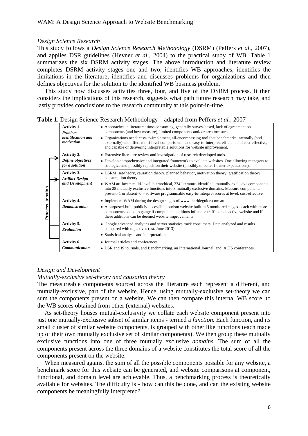#### *Design Science Research*

This study follows a *Design Science Research Methodology* (DSRM) (Peffers *et al.,* 2007), and applies DSR guidelines (Hevner *et al.,* 2004) to the practical study of WB. Table 1 summarizes the six DSRM activity stages. The above introduction and literature review completes DSRM activity stages one and two, identifies WB approaches, identifies the limitations in the literature, identifies and discusses problems for organizations and then defines objectives for the solution to the identified WB business problem.

This study now discusses activities three, four, and five of the DSRM process. It then considers the implications of this research, suggests what path future research may take, and lastly provides conclusions to the research community at this point-in-time.

|  |  | <b>Table 1.</b> Design Science Research Methodology – adapted from Peffers et al., 2007 |  |  |  |
|--|--|-----------------------------------------------------------------------------------------|--|--|--|
|  |  |                                                                                         |  |  |  |

|                   | Activity 1.<br><b>Problem</b><br>identification and<br>motivation                                                                                                    | • Approaches in literature: time-consuming, generally survey-based, lack of agreement on<br>components (and how measure), limited components and/ or area measured<br>• Organizations need: easy-to-implement, all-encompassing tool that benchmarks internally (and<br>externally) and offers multi-level comparisons – and easy-to-interpret, efficient and cost-effective,<br>and capable of delivering interpretable solutions for website improvement. |  |  |  |  |  |
|-------------------|----------------------------------------------------------------------------------------------------------------------------------------------------------------------|-------------------------------------------------------------------------------------------------------------------------------------------------------------------------------------------------------------------------------------------------------------------------------------------------------------------------------------------------------------------------------------------------------------------------------------------------------------|--|--|--|--|--|
| Process Iteration | Activity 2.<br>Define objectives<br>for a solution                                                                                                                   | • Extensive literature review and investigation of research developed tools.<br>• Develop comprehensive and integrated framework to evaluate websites. One allowing managers to<br>strategize and possibly reposition their website (possibly to better fit user expectations).                                                                                                                                                                             |  |  |  |  |  |
|                   | Activity 3.<br><b>Artifact Design</b><br>and Development                                                                                                             | • DSRM, set-theory, causation theory, planned behavior, motivation theory, gratification theory,<br>consumption theory<br>• WAM artifact $=$ multi-level, hierarchical, 234 literature-identified, mutually-exclusive components<br>into 28 mutually exclusive functions into 3 mutually exclusive domains. Measure components<br>$present=1$ or absent= $0 = softmax$ rogrammable easy-to-interpret scores at level, cost-effective                        |  |  |  |  |  |
|                   | <b>Activity 4.</b><br><b>Demonstration</b>                                                                                                                           | • Implement WAM during the design stages of www.therideguide.com.au<br>• A purposed-built publicly-accessible tourism website built in 5 monitored stages - each with more<br>components added to gauge if component additions influence traffic on an active website and if<br>these additions can be deemed website improvements                                                                                                                          |  |  |  |  |  |
|                   | Activity 5.<br>Evaluation                                                                                                                                            | • Google advanced analytics and server statistics track consumers. Data analyzed and results<br>compared with objectives (est. June 2013)<br>• Statistical analysis and interpretation                                                                                                                                                                                                                                                                      |  |  |  |  |  |
|                   | Activity 6.<br>• Journal articles and conferences<br><b>Communication</b><br>• DSR and IS journals, and Benchmarking, an International Journal, and ACIS conferences |                                                                                                                                                                                                                                                                                                                                                                                                                                                             |  |  |  |  |  |

#### *Design and Development*

#### *Mutually-exclusive set-theory and causation theory*

The measureable components sourced across the literature each represent a different, and mutually-exclusive, part of the website. Hence, using mutually-exclusive set-theory we can sum the components present on a website. We can then compare this internal WB score, to the WB scores obtained from other (external) websites.

As set-theory houses mutual-exclusivity we collate each website component present into just one mutually-exclusive subset of similar items - termed a *function*. Each function, and its small cluster of similar website components, is grouped with other like functions (each made up of their own mutually exclusive set of similar components). We then group these mutually exclusive functions into one of three mutually exclusive *domains*. The sum of all the components present across the three domains of a website constitutes the total score of all the components present on the website.

When measured against the sum of all the possible components possible for any website, a benchmark score for this website can be generated, and website comparisons at component, functional, and domain level are achievable. Thus, a benchmarking process is theoretically available for websites. The difficulty is - how can this be done, and can the existing website components be meaningfully interpreted?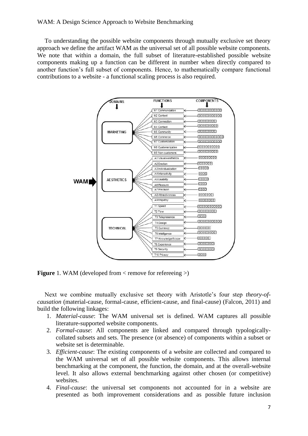# WAM: A Design Science Approach to Website Benchmarking

To understanding the possible website components through mutually exclusive set theory approach we define the artifact WAM as the universal set of all possible website components. We note that within a domain, the full subset of literature-established possible website components making up a function can be different in number when directly compared to another function's full subset of components. Hence, to mathematically compare functional contributions to a website - a functional scaling process is also required.



**Figure** 1. WAM (developed from < remove for reference >)

Next we combine mutually exclusive set theory with Aristotle's four step *theory-ofcausation* (material-cause, formal-cause, efficient-cause, and final-cause) (Falcon, 2011) and build the following linkages:

- 1. *Material-cause*: The WAM universal set is defined. WAM captures all possible literature-supported website components.
- 2. *Formal-cause*: All components are linked and compared through typologicallycollated subsets and sets. The presence (or absence) of components within a subset or website set is determinable.
- 3. *Efficient-cause*: The existing components of a website are collected and compared to the WAM universal set of all possible website components. This allows internal benchmarking at the component, the function, the domain, and at the overall-website level. It also allows external benchmarking against other chosen (or competitive) websites.
- 4. *Final-cause*: the universal set components not accounted for in a website are presented as both improvement considerations and as possible future inclusion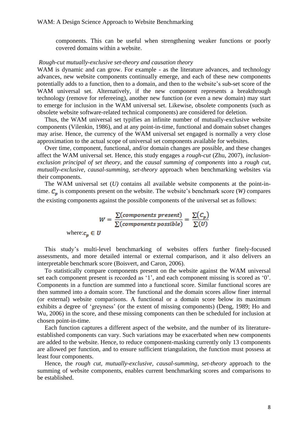components. This can be useful when strengthening weaker functions or poorly covered domains within a website.

#### *Rough-cut mutually-exclusive set-theory and causation theory*

WAM is dynamic and can grow. For example - as the literature advances, and technology advances, new website components continually emerge, and each of these new components potentially adds to a function, then to a domain, and then to the website's sub-set score of the WAM universal set. Alternatively, if the new component represents a breakthrough technology (remove for refereeing), another new function (or even a new domain) may start to emerge for inclusion in the WAM universal set. Likewise, obsolete components (such as obsolete website software-related technical components) are considered for deletion.

Thus, the WAM universal set typifies an infinite number of mutually-exclusive website components (Vilenkin, 1986), and at any point-in-time, functional and domain subset changes may arise. Hence, the currency of the WAM universal set engaged is normally a very close approximation to the actual scope of universal set components available for websites.

Over time, component, functional, and/or domain changes are possible, and these changes affect the WAM universal set. Hence, this study engages a *rough-cut* (Zhu, 2007), *inclusionexclusion principal of set theory*, and the *causal summing of components* into a *rough cut, mutually-exclusive, causal-summing, set-theory* approach when benchmarking websites via their components.

The WAM universal set (*U)* contains all available website components at the point-intime.  $C_n$  is components present on the website. The website's benchmark score (*W*) compares the existing components against the possible components of the universal set as follows:

$$
W = \frac{\sum (components\ present)}{\sum (components\ possible)} = \frac{\sum (C_p)}{\sum (U)}
$$

where: $c_n \in U$ 

This study's multi-level benchmarking of websites offers further finely-focused assessments, and more detailed internal or external comparison, and it also delivers an interpretable benchmark score (Boisvert, and Caron, 2006).

To statistically compare components present on the website against the WAM universal set each component present is recorded as '1', and each component missing is scored as '0'. Components in a function are summed into a functional score. Similar functional scores are then summed into a domain score. The functional and the domain scores allow finer internal (or external) website comparisons. A functional or a domain score below its maximum exhibits a degree of 'greyness' (or the extent of missing components) (Deng, 1989; Ho and Wu, 2006) in the score, and these missing components can then be scheduled for inclusion at chosen point-in-time.

Each function captures a different aspect of the website, and the number of its literatureestablished components can vary. Such variations may be exacerbated when new components are added to the website. Hence, to reduce component-masking currently only 13 components are allowed per function, and to ensure sufficient triangulation, the function must possess at least four components.

Hence, the *rough cut, mutually-exclusive, causal-summing, set-theory* approach to the summing of website components, enables current benchmarking scores and comparisons to be established.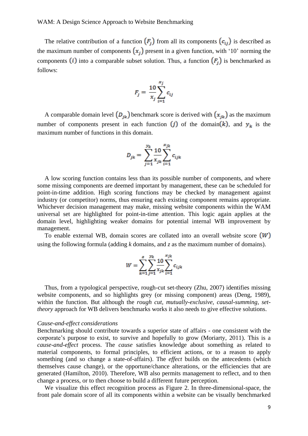The relative contribution of a function  $(F_i)$  from all its components  $(c_{ij})$  is described as the maximum number of components  $(x_i)$  present in a given function, with '10' norming the components *(i)* into a comparable subset solution. Thus, a function  $(F_j)$  is benchmarked as follows:

$$
F_j = \frac{10}{x_j} \sum_{i=1}^{x_j} c_{ij}
$$

A comparable domain level  $(D_{jk})$  benchmark score is derived with  $(x_{jk})$  as the maximum number of components present in each function  $(j)$  of the domain  $(k)$ , and  $y_k$  is the maximum number of functions in this domain.

$$
D_{jk} = \sum_{j=1}^{y_k} \frac{10}{x_{jk}} \sum_{i=1}^{x_{jk}} c_{ijk}
$$

A low scoring function contains less than its possible number of components, and where some missing components are deemed important by management, these can be scheduled for point-in-time addition. High scoring functions may be checked by management against industry (or competitor) norms, thus ensuring each existing component remains appropriate. Whichever decision management may make, missing website components within the WAM universal set are highlighted for point-in-time attention. This logic again applies at the domain level, highlighting weaker domains for potential internal WB improvement by management.

To enable external WB, domain scores are collated into an overall website score  $(W)$ using the following formula (adding *k* domains, and *z* as the maximum number of domains).

$$
W = \sum_{k=1}^{z} \sum_{j=1}^{y_k} \frac{10}{x_{jk}} \sum_{i=1}^{x_{jk}} c_{ijk}
$$

Thus, from a typological perspective, rough-cut set-theory (Zhu, 2007) identifies missing website components, and so highlights grey (or missing component) areas (Deng, 1989), within the function. But although the *rough cut, mutually-exclusive, causal-summing, settheory* approach for WB delivers benchmarks works it also needs to give effective solutions.

#### *Cause-and-effect considerations*

Benchmarking should contribute towards a superior state of affairs - one consistent with the corporate's purpose to exist, to survive and hopefully to grow (Moriarty, 2011). This is a *cause-and-effect* process. The *cause* satisfies knowledge about something as related to material components, to formal principles, to efficient actions, or to a reason to apply something (and so change a state-of-affairs). The *effect* builds on the antecedents (which themselves cause change), or the opportune/chance alterations, or the efficiencies that are generated (Hamilton, 2010). Therefore, WB also permits management to reflect, and to then change a process, or to then choose to build a different future perception.

We visualize this effect recognition process as Figure 2. In three-dimensional-space, the front pale domain score of all its components within a website can be visually benchmarked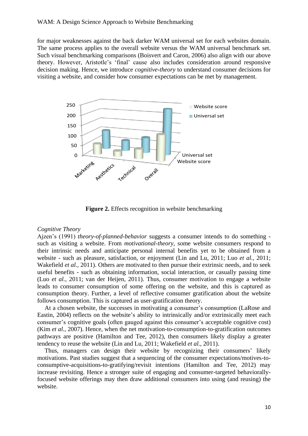for major weaknesses against the back darker WAM universal set for each websites domain. The same process applies to the overall website versus the WAM universal benchmark set. Such visual benchmarking comparisons (Boisvert and Caron, 2006) also align with our above theory. However, Aristotle's 'final' cause also includes consideration around responsive decision making. Hence, we introduce *cognitive-theory* to understand consumer decisions for visiting a website, and consider how consumer expectations can be met by management.



**Figure 2.** Effects recognition in website benchmarking

#### *Cognitive Theory*

Ajzen's (1991) *theory-of-planned-behavior* suggests a consumer intends to do something such as visiting a website. From *motivational-theory*, some website consumers respond to their intrinsic needs and anticipate personal internal benefits yet to be obtained from a website - such as pleasure, satisfaction, or enjoyment (Lin and Lu, 2011; Luo *et al.,* 2011; Wakefield *et al.,* 2011). Others are motivated to then pursue their extrinsic needs, and to seek useful benefits - such as obtaining information, social interaction, or casually passing time (Luo *et al.,* 2011; van der Heijen, 2011). Thus, consumer motivation to engage a website leads to consumer consumption of some offering on the website, and this is captured as consumption theory. Further, a level of reflective consumer gratification about the website follows consumption. This is captured as user-gratification theory.

At a chosen website, the successes in motivating a consumer's consumption (LaRose and Eastin, 2004) reflects on the website's ability to intrinsically and/or extrinsically meet each consumer's cognitive goals (often gauged against this consumer's acceptable cognitive cost) (Kim *et al.,* 2007). Hence, when the net motivation-to-consumption-to-gratification outcomes pathways are positive (Hamilton and Tee, 2012), then consumers likely display a greater tendency to reuse the website (Lin and Lu, 2011; Wakefield *et al.,* 2011).

Thus, managers can design their website by recognizing their consumers' likely motivations. Past studies suggest that a sequencing of the consumer expectations/motives-toconsumptive-acquisitions-to-gratifying/revisit intentions (Hamilton and Tee, 2012) may increase revisiting. Hence a stronger suite of engaging and consumer-targeted behaviorallyfocused website offerings may then draw additional consumers into using (and reusing) the website.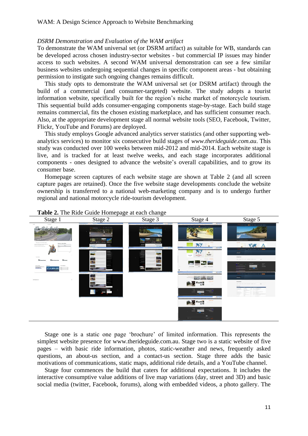#### *DSRM Demonstration and Evaluation of the WAM artifact*

To demonstrate the WAM universal set (or DSRM artifact) as suitable for WB, standards can be developed across chosen industry-sector websites - but commercial IP issues may hinder access to such websites. A second WAM universal demonstration can see a few similar business websites undergoing sequential changes in specific component areas - but obtaining permission to instigate such ongoing changes remains difficult.

This study opts to demonstrate the WAM universal set (or DSRM artifact) through the build of a commercial (and consumer-targeted) website. The study adopts a tourist information website, specifically built for the region's niche market of motorcycle tourism. This sequential build adds consumer-engaging components stage-by-stage. Each build stage remains commercial, fits the chosen existing marketplace, and has sufficient consumer reach. Also, at the appropriate development stage all normal website tools (SEO, Facebook, Twitter, Flickr, YouTube and Forums) are deployed.

This study employs Google advanced analytics server statistics (and other supporting webanalytics services) to monitor six consecutive build stages of *www.therideguide.com.au*. This study was conducted over 100 weeks between mid-2012 and mid-2014. Each website stage is live, and is tracked for at least twelve weeks, and each stage incorporates additional components - ones designed to advance the website's overall capabilities, and to grow its consumer base.

Homepage screen captures of each website stage are shown at Table 2 (and all screen capture pages are retained). Once the five website stage developments conclude the website ownership is transferred to a national web-marketing company and is to undergo further regional and national motorcycle ride-tourism development.



#### **Table 2.** The Ride Guide Homepage at each change

Stage one is a static one page 'brochure' of limited information. This represents the simplest website presence for www.therideguide.com.au. Stage two is a static website of five pages – with basic ride information, photos, static-weather and news, frequently asked questions, an about-us section, and a contact-us section. Stage three adds the basic motivations of communications, static maps, additional ride details, and a YouTube channel.

Stage four commences the build that caters for additional expectations. It includes the interactive consumptive value additions of live map variations (day, street and 3D) and basic social media (twitter, Facebook, forums), along with embedded videos, a photo gallery. The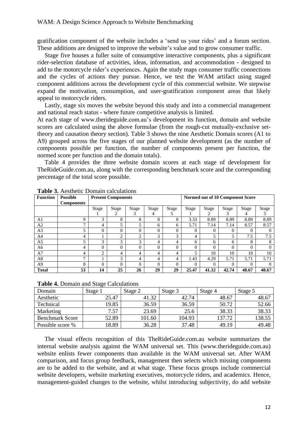gratification component of the website includes a 'send us your rides' and a forum section. These additions are designed to improve the website's value and to grow consumer traffic.

Stage five houses a fuller suite of consumptive interactive components, plus a significant rider-selection database of activities, ideas, information, and accommodation - designed to add to the motorcycle rider's experiences. Again the study maps consumer traffic connections and the cycles of actions they pursue. Hence, we test the WAM artifact using staged component additions across the development cycle of this commercial website. We stepwise expand the motivation, consumption, and user-gratification component areas that likely appeal to motorcycle riders.

Lastly, stage six moves the website beyond this study and into a commercial management and national reach status - where future competitive analysis is limited.

At each stage of [www.ther](http://www.the/)ideguide.com.au's development its function, domain and website scores are calculated using the above formulae (from the rough-cut mutually-exclusive settheory and causation theory section). Table 3 shows the nine Aesthetic Domain scores (A1 to A9) grouped across the five stages of our planned website development (as the number of components possible per function, the number of components present per function, the normed score per function and the domain totals).

Table 4 provides the three website domain scores at each stage of development for TheRideGuide.com.au, along with the corresponding benchmark score and the corresponding percentage of the total score possible.

| <b>Function</b> | <b>Possible</b>   | <b>Present Components</b> |          |               |              | Normed out of 10 Component Score |          |          |          |          |          |
|-----------------|-------------------|---------------------------|----------|---------------|--------------|----------------------------------|----------|----------|----------|----------|----------|
|                 | <b>Components</b> |                           |          |               |              |                                  |          |          |          |          |          |
|                 |                   | Stage                     | Stage    | Stage         | <b>Stage</b> | Stage                            | Stage    | Stage    | Stage    | Stage    | Stage    |
|                 |                   |                           | 2        | 3             |              |                                  |          | 2        | 3        | 4        |          |
| A1              | Q                 | 3                         | 8        | 8             | 8            | 8                                | 3.33     | 8.89     | 8.89     | 8.89     | 8.89     |
| A2              | ⇁                 | 4                         |          |               | 6            | 6                                | 5.71     | 7.14     | 7.14     | 8.57     | 8.57     |
| A <sub>3</sub>  | 5                 | $\Omega$                  | 0        | 0             | $\theta$     | $\theta$                         | $\Omega$ | $\Omega$ | 0        | $\Omega$ | $\theta$ |
| A <sub>4</sub>  | 4                 |                           | 2        | $\mathcal{L}$ | 3            | 3                                | 4        | 5        | 5        | 7.5      | 7.5      |
| A <sub>5</sub>  | ς                 | 3                         | 3        | 3             | 4            | 4                                | 6        | 6        | 6        | 8        | 8        |
| A6              | 4                 | $\Omega$                  | $\Omega$ |               | $\Omega$     | $\Omega$                         | 0        | $\theta$ | 0        | $\Omega$ | $\Omega$ |
| A7              | 4                 | $\overline{c}$            | 4        | 4             | 4            | 4                                | 5        | 10       | 10       | 10       | 10       |
| A8              | ⇁                 |                           | 3        | 4             | 4            | 4                                | 1.43     | 4.29     | 5.71     | 5.71     | 5.71     |
| A <sub>9</sub>  | 8                 | $\Omega$                  | $\Omega$ | $\Omega$      | $\Omega$     | $\Omega$                         | $\Omega$ | $\Omega$ | $\Omega$ | $\Omega$ | $\theta$ |
| <b>Total</b>    | 53                | 14                        | 25       | 26            | 29           | 29                               | 25.47    | 41.32    | 42.74    | 48.67    | 48.67    |

**Table 3.** Aesthetic Domain calculations

**Table 4.** Domain and Stage Calculations

| Domain                 | Stage 1 | Stage 2 | Stage 3 | Stage 4 | Stage 5 |
|------------------------|---------|---------|---------|---------|---------|
| Aesthetic              | 25.47   | 41.32   | 42.74   | 48.67   | 48.67   |
| Technical              | 19.85   | 36.59   | 36.59   | 50.72   | 52.66   |
| Marketing              | 7.57    | 23.69   | 25.6    | 38.33   | 38.33   |
| <b>Benchmark Score</b> | 52.89   | 101.60  | 104.93  | 137.72  | 138.55  |
| Possible score %       | 18.89   | 36.28   | 37.48   | 49.19   | 49.48   |

The visual effects recognition of this TheRideGuide.com.au website summarizes the internal website analysis against the WAM universal set. This (www.therideguide.com.au) website enlists fewer components than available in the WAM universal set. After WAM comparison, and focus group feedback, management then selects which missing components are to be added to the website, and at what stage. These focus groups include commercial website developers, website marketing executives, motorcycle riders, and academics. Hence, management-guided changes to the website, whilst introducing subjectivity, do add website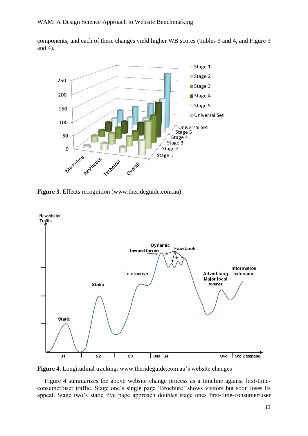components, and each of these changes yield higher WB scores (Tables 3 and 4, and Figure 3 and 4).



**Figure 3.** Effects recognition (www.therideguide.com.au)



**Figure 4.** Longitudinal tracking: www.therideguide.com.au's website changes

Figure 4 summarizes the above website change process as a timeline against first-timeconsumer/user traffic. Stage one's single page 'Brochure' shows visitors but soon loses its appeal. Stage two's static five page approach doubles stage ones first-time-consumer/user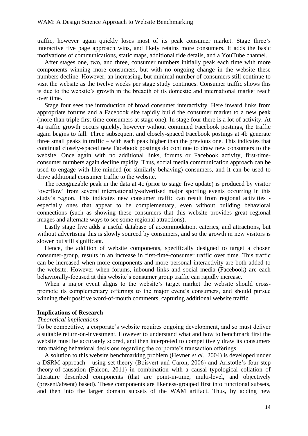traffic, however again quickly loses most of its peak consumer market. Stage three's interactive five page approach wins, and likely retains more consumers. It adds the basic motivations of communications, static maps, additional ride details, and a YouTube channel.

After stages one, two, and three, consumer numbers initially peak each time with more components winning more consumers, but with no ongoing change in the website these numbers decline. However, an increasing, but minimal number of consumers still continue to visit the website as the twelve weeks per stage study continues. Consumer traffic shows this is due to the website's growth in the breadth of its domestic and international market reach over time.

Stage four sees the introduction of broad consumer interactivity. Here inward links from appropriate forums and a Facebook site rapidly build the consumer market to a new peak (more than triple first-time-consumers at stage one). In stage four there is a lot of activity. At 4a traffic growth occurs quickly, however without continued Facebook postings, the traffic again begins to fall. Three subsequent and closely-spaced Facebook postings at 4b generate three small peaks in traffic – with each peak higher than the previous one. This indicates that continual closely-spaced new Facebook postings do continue to draw new consumers to the website. Once again with no additional links, forums or Facebook activity, first-timeconsumer numbers again decline rapidly. Thus, social media communication approach can be used to engage with like-minded (or similarly behaving) consumers, and it can be used to drive additional consumer traffic to the website.

The recognizable peak in the data at 4c (prior to stage five update) is produced by visitor 'overflow' from several internationally-advertised major sporting events occurring in this study's region. This indicates new consumer traffic can result from regional activities especially ones that appear to be complementary, even without building behavioral connections (such as showing these consumers that this website provides great regional images and alternate ways to see some regional attractions).

Lastly stage five adds a useful database of accommodation, eateries, and attractions, but without advertising this is slowly sourced by consumers, and so the growth in new visitors is slower but still significant.

Hence, the addition of website components, specifically designed to target a chosen consumer-group, results in an increase in first-time-consumer traffic over time. This traffic can be increased when more components and more personal interactivity are both added to the website. However when forums, inbound links and social media (Facebook) are each behaviorally-focused at this website's consumer group traffic can rapidly increase.

When a major event aligns to the website's target market the website should crosspromote its complementary offerings to the major event's consumers, and should pursue winning their positive word-of-mouth comments, capturing additional website traffic.

#### **Implications of Research**

# *Theoretical implications*

To be competitive, a corporate's website requires ongoing development, and so must deliver a suitable return-on-investment. However to understand what and how to benchmark first the website must be accurately scored, and then interpreted to competitively draw its consumers into making behavioral decisions regarding the corporate's transaction offerings.

A solution to this website benchmarking problem (Hevner *et al.,* 2004) is developed under a DSRM approach - using set-theory (Boisvert and Caron, 2006) and Aristotle's four-step theory-of-causation (Falcon, 2011) in combination with a causal typological collation of literature described components (that are point-in-time, multi-level, and objectively (present/absent) based). These components are likeness-grouped first into functional subsets, and then into the larger domain subsets of the WAM artifact. Thus, by adding new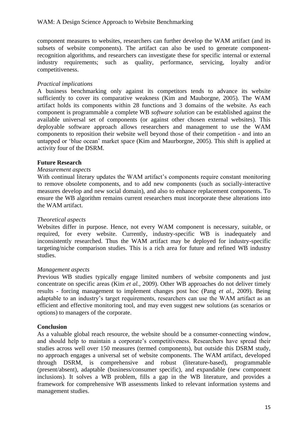component measures to websites, researchers can further develop the WAM artifact (and its subsets of website components). The artifact can also be used to generate componentrecognition algorithms, and researchers can investigate these for specific internal or external industry requirements; such as quality, performance, servicing, loyalty and/or competitiveness.

# *Practical implications*

A business benchmarking only against its competitors tends to advance its website sufficiently to cover its comparative weakness (Kim and Mauborgne, 2005). The WAM artifact holds its components within 28 functions and 3 domains of the website. As each component is programmable a complete WB *software solution* can be established against the available universal set of components (or against other chosen external websites). This deployable software approach allows researchers and management to use the WAM components to reposition their website well beyond those of their competition - and into an untapped or 'blue ocean' market space (Kim and Maurborgne, 2005). This shift is applied at activity four of the DSRM.

# **Future Research**

# *Measurement aspects*

With continual literary updates the WAM artifact's components require constant monitoring to remove obsolete components, and to add new components (such as socially-interactive measures develop and new social domain), and also to enhance replacement components. To ensure the WB algorithm remains current researchers must incorporate these alterations into the WAM artifact.

# *Theoretical aspects*

Websites differ in purpose. Hence, not every WAM component is necessary, suitable, or required, for every website. Currently, industry-specific WB is inadequately and inconsistently researched. Thus the WAM artifact may be deployed for industry-specific targeting/niche comparison studies. This is a rich area for future and refined WB industry studies.

# *Management aspects*

Previous WB studies typically engage limited numbers of website components and just concentrate on specific areas (Kim *et al.,* 2009). Other WB approaches do not deliver timely results - forcing management to implement changes post hoc (Pang *et al.,* 2009). Being adaptable to an industry's target requirements, researchers can use the WAM artifact as an efficient and effective monitoring tool, and may even suggest new solutions (as scenarios or options) to managers of the corporate.

# **Conclusion**

As a valuable global reach resource, the website should be a consumer-connecting window, and should help to maintain a corporate's competitiveness. Researchers have spread their studies across well over 150 measures (termed components), but outside this DSRM study, no approach engages a universal set of website components. The WAM artifact, developed through DSRM, is comprehensive and robust (literature-based), programmable (present/absent), adaptable (business/consumer specific), and expandable (new component inclusions). It solves a WB problem, fills a gap in the WB literature, and provides a framework for comprehensive WB assessments linked to relevant information systems and management studies.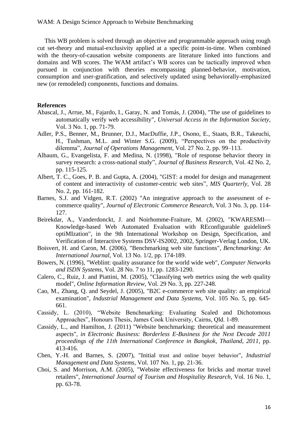This WB problem is solved through an objective and programmable approach using rough cut set-theory and mutual-exclusivity applied at a specific point-in-time. When combined with the theory-of-causation website components are literature linked into functions and domains and WB scores. The WAM artifact's WB scores can be tactically improved when pursued in conjunction with theories encompassing planned-behavior, motivation, consumption and user-gratification, and selectively updated using behaviorally-emphasized new (or remodeled) components, functions and domains.

# **References**

- Abascal, J., Arrue, M., Fajardo, I., Garay, N. and Tomás, J. (2004), "The use of guidelines to automatically verify web accessibility", *Universal Access in the Information Society,*  Vol. 3 No. 1, pp. 71-79.
- Adler, P.S., Benner, M., Brunner, D.J., MacDuffie, J.P., Osono, E., Staats, B.R., Takeuchi, H., Tushman, M.L. and Winter S.G. (2009), "Perspectives on the productivity dilemma", *Journal of Operations Management*, Vol. 27 No. 2, pp. 99–113.
- Albaum, G., Evangelista, F. and Medina, N. (1998), "Role of response behavior theory in survey research: a cross-national study", *Journal of Business Research,* Vol. 42 No. 2, pp. 115-125.
- Albert, T. C., Goes, P. B. and Gupta, A. (2004), "GIST: a model for design and management of content and interactivity of customer-centric web sites", *MIS Quarterly,* Vol. 28 No. 2, pp. 161-182.
- Barnes, S.J. and Vidgen, R.T. (2002) "An integrative approach to the assessment of ecommerce quality", *Journal of Electronic Commerce Research,* Vol. 3 No. 3, pp. 114- 127.
- Beirekdar, A., Vanderdonckt, J. and Noirhomme-Fraiture, M. (2002), "KWARESMI— Knowledge-based Web Automated Evaluation with REconfigurable guidelineS optiMIzation", in the 9th International Workshop on Design, Specification, and Verification of Interactive Systems DSV-IS2002, 2002, Springer-Verlag London, UK.
- Boisvert, H. and Caron, M. (2006), "Benchmarking web site functions", *Benchmarking: An International Journal,* Vol. 13 No. 1/2, pp. 174-189.
- Bowers, N. (1996), "Weblint: quality assurance for the world wide web", *Computer Networks and ISDN Systems,* Vol. 28 No. 7 to 11, pp. 1283-1290.
- Calero, C., Ruiz, J. and Piattini, M. (2005), "Classifying web metrics using the web quality model", *Online Information Review,* Vol. 29 No. 3, pp. 227-248.
- Cao, M., Zhang, Q. and Seydel, J. (2005), "B2C e-commerce web site quality: an empirical examination", *Industrial Management and Data Systems,* Vol. 105 No. 5, pp. 645- 661.
- Cassidy, L. (2010), "Website Benchmarking: Evaluating Scaled and Dichotomous Approaches", Honours Thesis, James Cook University, Cairns, Qld. 1-89.
- Cassidy, L., and Hamilton, J. (2011) "Website benchmarking: theoretical and measurement aspects", *in Electronic Business: Borderless E-Business for the Next Decade 2011 proceedings of the 11th International Conference in Bangkok, Thailand, 2011,* pp. 413-416.
- Chen, Y.-H. and Barnes, S. (2007), "Initial trust and online buyer behavior", *Industrial Management and Data Systems,* Vol. 107 No. 1, pp. 21-36.
- Choi, S. and Morrison, A.M. (2005), "Website effectiveness for bricks and mortar travel retailers", *International Journal of Tourism and Hospitality Research,* Vol. 16 No. 1, pp. 63-78.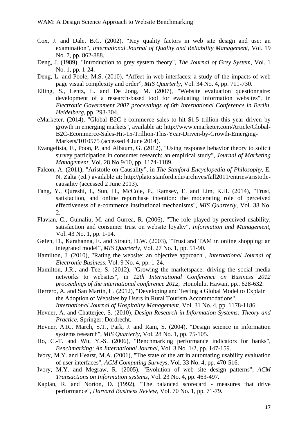- Cox, J. and Dale, B.G. (2002), "Key quality factors in web site design and use: an examination", *International Journal of Quality and Reliability Management,* Vol. 19 No. 7, pp. 862-888.
- Deng, J. (1989), "Introduction to grey system theory", *The Journal of Grey System,* Vol. 1 No. 1, pp. 1-24.
- Deng, L. and Poole, M.S. (2010), "Affect in web interfaces: a study of the impacts of web page visual complexity and order", *MIS Quarterly,* Vol. 34 No. 4, pp. 711-730.
- Elling, S., Lentz, L. and De Jong, M. (2007), "Website evaluation questionnaire: development of a research-based tool for evaluating information websites", in *Electronic Government 2007 proceedings of 6th International Conference in Berlin, Heidelberg*, pp. 293-304.
- eMarketer. (2014), "Global B2C e-commerce sales to hit \$1.5 trillion this year driven by growth in emerging markets", available at: [http://www.emarketer.com/Article/Global-](http://www.emarketer.com/Article/Global-B2C-Ecommerce-Sales-Hit-15-Trillion-This-Year-Driven-by-Growth-Emerging-Markets/1010575)[B2C-Ecommerce-Sales-Hit-15-Trillion-This-Year-Driven-by-Growth-Emerging-](http://www.emarketer.com/Article/Global-B2C-Ecommerce-Sales-Hit-15-Trillion-This-Year-Driven-by-Growth-Emerging-Markets/1010575)[Markets/1010575](http://www.emarketer.com/Article/Global-B2C-Ecommerce-Sales-Hit-15-Trillion-This-Year-Driven-by-Growth-Emerging-Markets/1010575) (accessed 4 June 2014).
- Evangelista, F., Poon, P. and Albaum, G. (2012), "Using response behavior theory to solicit survey participation in consumer research: an empirical study", *Journal of Marketing Management,* Vol. 28 No.9/10, pp. 1174-1189.
- Falcon, A. (2011), "Aristotle on Causality", in *The Stanford Encyclopedia of Philosophy,* E. N. Zalta (ed.) available at: [http://plato.stanford.edu/archives/fall2011/entries/aristotle](http://plato.stanford.edu/archives/fall2011/entries/aristotle-causality)[causality](http://plato.stanford.edu/archives/fall2011/entries/aristotle-causality) (accessed 2 June 2013).
- Fang, Y., Qureshi, I., Sun, H., McCole, P., Ramsey, E. and Lim, K.H. (2014), "Trust, satisfaction, and online repurchase intention: the moderating role of perceived effectiveness of e-commerce institutional mechanisms", *MIS Quarterly,* Vol. 38 No. 2.
- Flavian, C., Guinaliu, M. and Gurrea, R. (2006), "The role played by perceived usability, satisfaction and consumer trust on website loyalty", *Information and Management,* Vol. 43 No. 1, pp. 1-14.
- Gefen, D., Karahanna, E. and Straub, D.W. (2003), "Trust and TAM in online shopping: an integrated model", *MIS Quarterly,* Vol. 27 No. 1, pp. 51-90.
- Hamilton, J. (2010), "Rating the website: an objective approach", *International Journal of Electronic Business,* Vol. 9 No. 4, pp. 1-24.
- Hamilton, J.R., and Tee, S. (2012), "Growing the marketspace: driving the social media networks to websites", in *12th International Conference on Business 2012 proceedings of the international conference 2012,* Honolulu, Hawaii, pp.. 628-632.
- Herrero, A. and San Martin, H. (2012), "Developing and Testing a Global Model to Explain the Adoption of Websites by Users in Rural Tourism Accommodations",

*International Journal of Hospitality Management,* Vol. 31 No. 4, pp. 1178-1186.

- Hevner, A. and Chatterjee, S. (2010), *Design Research in Information Systems: Theory and Practice,* Springer: Dordrecht.
- Hevner, A.R., March, S.T., Park, J. and Ram, S. (2004), "Design science in information systems research", *MIS Quarterly,* Vol. 28 No. 1, pp. 75-105.
- Ho, C.-T. and Wu, Y.-S. (2006), "Benchmarking performance indicators for banks", *Benchmarking: An International Journal,* Vol. 3 No. 1/2, pp. 147-159.
- Ivory, M.Y. and Hearst, M.A. (2001), "The state of the art in automating usability evaluation of user interfaces", *ACM Computing Surveys,* Vol. 33 No. 4, pp. 470-516.
- Ivory, M.Y. and Megraw, R. (2005), "Evolution of web site design patterns", *ACM Transactions on Information systems,* Vol. 23 No. 4, pp. 463-497.
- Kaplan, R. and Norton, D. (1992), "The balanced scorecard measures that drive performance", *Harvard Business Review,* Vol. 70 No. 1, pp. 71-79.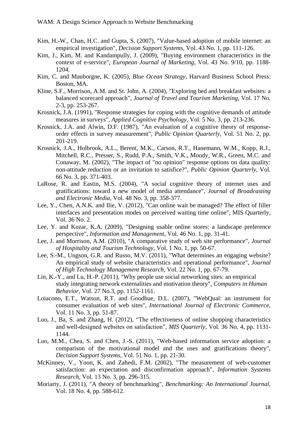- Kim, H.-W., Chan, H.C. and Gupta, S. (2007), "Value-based adoption of mobile internet: an empirical investigation", *Decision Support Systems,* Vol. 43 No. 1, pp. 111-126.
- Kim, J., Kim, M. and Kandampully, J. (2009), "Buying environment characteristics in the context of e-service", *European Journal of Marketing,* Vol. 43 No. 9/10, pp. 1188- 1204.
- Kim, C. and Mauborgne, K. (2005), *Blue Ocean Strategy*, Harvard Business School Press: Boston, MA.
- Kline, S.F., Morrison, A.M. and St. John, A. (2004), "Exploring bed and breakfast websites: a balanced scorecard approach", *Journal of Travel and Tourism Marketing,* Vol. 17 No. 2-3, pp. 253-267.
- Krosnick, J.A. (1991), "Response strategies for coping with the cognitive demands of attitude measures in surveys", *Applied Cognitive Psychology,* Vol. 5 No. 3, pp. 213-236.
- Krosnick, J.A. and Alwin, D.F. (1987), "An evaluation of a cognitive theory of responseorder effects in survey measurement", *Public Opinion Quarterly,* Vol. 51 No. 2, pp. 201-219.
- Krosnick, J.A., Holbrook, A.L., Berent, M.K., Carson, R.T., Hanemann, W.M., Kopp, R.J., Mitchell, R.C., Presser, S., Rudd, P.A., Smith, V.K., Moody, W.R., Green, M.C. and Conaway, M. (2002), "The impact of "no opinion" response options on data quality: non-attitude reduction or an invitation to satisfice?", *Public Opinion Quarterly,* Vol. 66 No. 3, pp. 371-403.
- LaRose, R. and Eastin, M.S. (2004), "A social cognitive theory of internet uses and gratifications: toward a new model of media attendance", *Journal of Broadcasting and Electronic Media,* Vol. 48 No. 3, pp. 358-377.
- Lee, Y., Chen, A.N.K. and Ilie, V. (2012), "Can online wait be managed? The effect of filler interfaces and presentation modes on perceived waiting time online", MIS Quarterly, Vol. 36 No. 2.
- Lee, Y. and Kozar, K.A. (2009), "Designing usable online stores: a landscape preference perspective", *Information and Management,* Vol. 46 No. 1, pp. 31-41.
- Lee, J. and Morrison, A.M. (2010), "A comparative study of web site performance", *Journal of Hospitality and Tourism Technology,* Vol. 1 No. 1, pp. 50-67.
- Lee, S.-M., Ungson, G.R. and Russo, M.V. (2011), "What determines an engaging website? An empirical study of website characteristics and operational performance", *Journal of High Technology Management Research,* Vol. 22 No. 1, pp. 67-79.
- Lin, K.-Y., and Lu, H.-P. (2011), "Why people use social networking sites: an empirical study integrating network externalities and motivation theory", *Computers in Human Behavior,* Vol. 27 No.3, pp. 1152-1161.
- Loiacono, E.T., Watson, R.T. and Goodhue, D.L. (2007), "WebQual: an instrument for consumer evaluation of web sites", *International Journal of Electronic Commerce,* Vol. 11 No. 3, pp. 51-87.
- Luo, J., Ba, S. and Zhang, H. (2012), "The effectiveness of online shopping characteristics and well-designed websites on satisfaction", *MIS Quarterly,* Vol. 36 No. 4, pp. 1131- 1144.
- Luo, M.M., Chea, S. and Chen, J.-S. (2011), "Web-based information service adoption: a comparison of the motivational model and the uses and gratifications theory", *Decision Support Systems,* Vol. 51 No. 1, pp. 21-30.
- McKinney, V., Yoon, K. and Zahedi, F.M. (2002), "The measurement of web-customer satisfaction: an expectation and disconfirmation approach", *Information Systems Research,* Vol. 13 No. 3, pp. 296-315.
- Moriarty, J. (2011), "A theory of benchmarking", *Benchmarking: An International Journal,* Vol. 18 No. 4, pp. 588-612.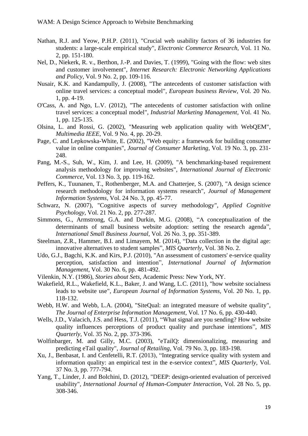- Nathan, R.J. and Yeow, P.H.P. (2011), "Crucial web usability factors of 36 industries for students: a large-scale empirical study", *Electronic Commerce Research,* Vol. 11 No. 2, pp. 151-180.
- Nel, D., Niekerk, R. v., Berthon, J.-P. and Davies, T. (1999), "Going with the flow: web sites and customer involvement", *Internet Research: Electronic Networking Applications and Policy,* Vol. 9 No. 2, pp. 109-116.
- Nusair, K.K. and Kandampully, J. (2008), "The antecedents of customer satisfaction with online travel services: a conceptual model", *European business Review,* Vol. 20 No. 1, pp. 4-19.
- O'Cass, A. and Ngo, L.V. (2012), "The antecedents of customer satisfaction with online travel services: a conceptual model", *Industrial Marketing Management,* Vol. 41 No. 1, pp. 125-135.
- Olsina, L. and Rossi, G. (2002), "Measuring web application quality with WebQEM", *Multimedia IEEE,* Vol. 9 No. 4, pp. 20-29.
- Page, C. and Lepkowska-White, E. (2002), "Web equity: a framework for building consumer value in online companies", *Journal of Consumer Marketing,* Vol. 19 No. 3, pp. 231- 248.
- Pang, M.-S., Suh, W., Kim, J. and Lee, H. (2009), "A benchmarking-based requirement analysis methodology for improving websites", *International Journal of Electronic Commerce,* Vol. 13 No. 3, pp. 119-162.
- Peffers, K., Tuunanen, T., Rothenberger, M.A. and Chatterjee, S. (2007), "A design science research methodology for information systems research", *Journal of Management Information Systems,* Vol. 24 No. 3, pp. 45-77.
- Schwarz, N. (2007), "Cognitive aspects of survey methodology", *Applied Cognitive Psychology,* Vol. 21 No. 2, pp. 277-287.
- Simmons, G., Armstrong, G.A. and Durkin, M.G. (2008), "A conceptualization of the determinants of small business website adoption: setting the research agenda", *International Small Business Journal,* Vol. 26 No. 3, pp. 351-389.
- Steelman, Z.R., Hammer, B.I. and Limayem, M. (2014), "Data collection in the digital age: innovative alternatives to student samples", *MIS Quarterly,* Vol. 38 No. 2.
- Udo, G.J., Bagchi, K.K. and Kirs, P.J. (2010), "An assessment of customers' e-service quality perception, satisfaction and intention", *International Journal of Information Management,* Vol. 30 No. 6, pp. 481-492.
- Vilenkin, N.Y. (1986), *Stories about Sets*, Academic Press: New York, NY.
- Wakefield, R.L., Wakefield, K.L., Baker, J. and Wang, L.C. (2011), "how website socialness leads to website use", *European Journal of Information Systems,* Vol. 20 No. 1, pp. 118-132.
- Webb, H.W. and Webb, L.A. (2004), "SiteQual: an integrated measure of website quality", *The Journal of Enterprise Information Management,* Vol. 17 No. 6, pp. 430-440.
- Wells, J.D., Valacich, J.S. and Hess, T.J. (2011), "What signal are you sending? How website quality influences perceptions of product quality and purchase intentions", *MIS Quarterly,* Vol. 35 No. 2, pp. 373-396.
- Wolfinbarger, M. and Gilly, M.C. (2003), "eTailO: dimensionalizing, measuring and predicting eTail quality", *Journal of Retailing,* Vol. 79 No. 3, pp. 183-198.
- Xu, J., Benbasat, I. and Cenfetelli, R.T. (2013), "Integrating service quality with system and information quality: an empirical test in the e-service context", *MIS Quarterly,* Vol. 37 No. 3, pp. 777-794.
- Yang, T., Linder, J. and Bolchini, D. (2012), "DEEP: design-oriented evaluation of perceived usability", *International Journal of Human-Computer Interaction,* Vol. 28 No. 5, pp. 308-346.